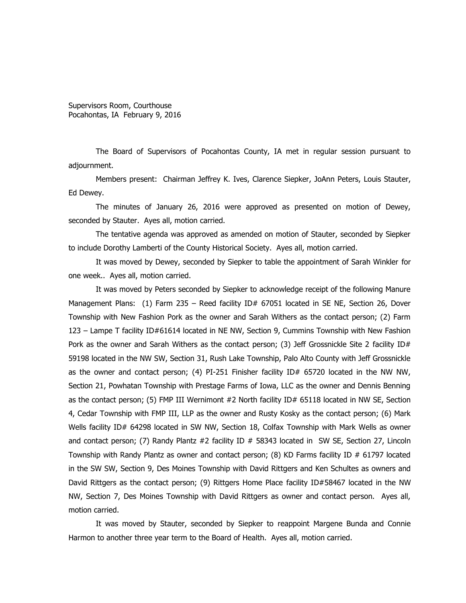Supervisors Room, Courthouse Pocahontas, IA February 9, 2016

The Board of Supervisors of Pocahontas County, IA met in regular session pursuant to adjournment.

Members present: Chairman Jeffrey K. Ives, Clarence Siepker, JoAnn Peters, Louis Stauter, Ed Dewey.

The minutes of January 26, 2016 were approved as presented on motion of Dewey, seconded by Stauter. Ayes all, motion carried.

The tentative agenda was approved as amended on motion of Stauter, seconded by Siepker to include Dorothy Lamberti of the County Historical Society. Ayes all, motion carried.

It was moved by Dewey, seconded by Siepker to table the appointment of Sarah Winkler for one week.. Ayes all, motion carried.

It was moved by Peters seconded by Siepker to acknowledge receipt of the following Manure Management Plans: (1) Farm 235 – Reed facility ID# 67051 located in SE NE, Section 26, Dover Township with New Fashion Pork as the owner and Sarah Withers as the contact person; (2) Farm 123 – Lampe T facility ID#61614 located in NE NW, Section 9, Cummins Township with New Fashion Pork as the owner and Sarah Withers as the contact person; (3) Jeff Grossnickle Site 2 facility ID# 59198 located in the NW SW, Section 31, Rush Lake Township, Palo Alto County with Jeff Grossnickle as the owner and contact person; (4) PI-251 Finisher facility ID# 65720 located in the NW NW, Section 21, Powhatan Township with Prestage Farms of Iowa, LLC as the owner and Dennis Benning as the contact person; (5) FMP III Wernimont #2 North facility ID# 65118 located in NW SE, Section 4, Cedar Township with FMP III, LLP as the owner and Rusty Kosky as the contact person; (6) Mark Wells facility ID# 64298 located in SW NW, Section 18, Colfax Township with Mark Wells as owner and contact person; (7) Randy Plantz  $#2$  facility ID  $#$  58343 located in SW SE, Section 27, Lincoln Township with Randy Plantz as owner and contact person; (8) KD Farms facility ID # 61797 located in the SW SW, Section 9, Des Moines Township with David Rittgers and Ken Schultes as owners and David Rittgers as the contact person; (9) Rittgers Home Place facility ID#58467 located in the NW NW, Section 7, Des Moines Township with David Rittgers as owner and contact person. Ayes all, motion carried.

It was moved by Stauter, seconded by Siepker to reappoint Margene Bunda and Connie Harmon to another three year term to the Board of Health. Ayes all, motion carried.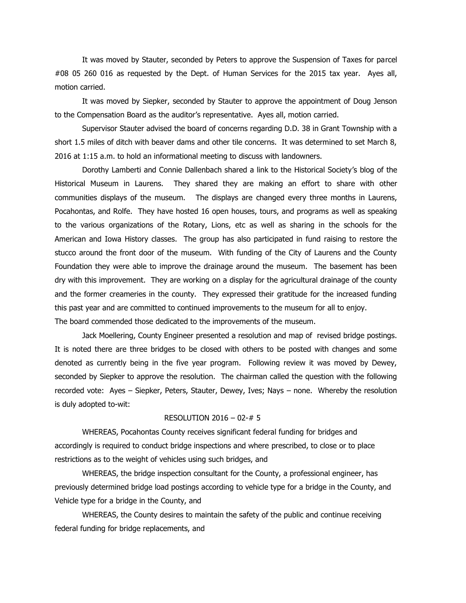It was moved by Stauter, seconded by Peters to approve the Suspension of Taxes for parcel #08 05 260 016 as requested by the Dept. of Human Services for the 2015 tax year. Ayes all, motion carried.

It was moved by Siepker, seconded by Stauter to approve the appointment of Doug Jenson to the Compensation Board as the auditor's representative. Ayes all, motion carried.

Supervisor Stauter advised the board of concerns regarding D.D. 38 in Grant Township with a short 1.5 miles of ditch with beaver dams and other tile concerns. It was determined to set March 8, 2016 at 1:15 a.m. to hold an informational meeting to discuss with landowners.

Dorothy Lamberti and Connie Dallenbach shared a link to the Historical Society's blog of the Historical Museum in Laurens. They shared they are making an effort to share with other communities displays of the museum. The displays are changed every three months in Laurens, Pocahontas, and Rolfe. They have hosted 16 open houses, tours, and programs as well as speaking to the various organizations of the Rotary, Lions, etc as well as sharing in the schools for the American and Iowa History classes. The group has also participated in fund raising to restore the stucco around the front door of the museum. With funding of the City of Laurens and the County Foundation they were able to improve the drainage around the museum. The basement has been dry with this improvement. They are working on a display for the agricultural drainage of the county and the former creameries in the county. They expressed their gratitude for the increased funding this past year and are committed to continued improvements to the museum for all to enjoy. The board commended those dedicated to the improvements of the museum.

Jack Moellering, County Engineer presented a resolution and map of revised bridge postings. It is noted there are three bridges to be closed with others to be posted with changes and some denoted as currently being in the five year program. Following review it was moved by Dewey, seconded by Siepker to approve the resolution. The chairman called the question with the following recorded vote: Ayes – Siepker, Peters, Stauter, Dewey, Ives; Nays – none. Whereby the resolution is duly adopted to-wit:

## RESOLUTION 2016 – 02-# 5

WHEREAS, Pocahontas County receives significant federal funding for bridges and accordingly is required to conduct bridge inspections and where prescribed, to close or to place restrictions as to the weight of vehicles using such bridges, and

WHEREAS, the bridge inspection consultant for the County, a professional engineer, has previously determined bridge load postings according to vehicle type for a bridge in the County, and Vehicle type for a bridge in the County, and

WHEREAS, the County desires to maintain the safety of the public and continue receiving federal funding for bridge replacements, and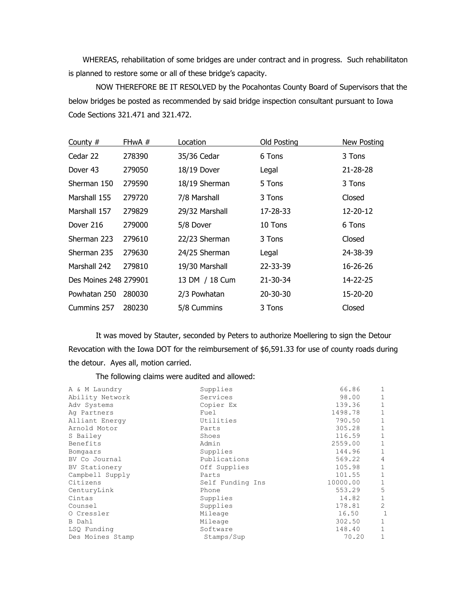WHEREAS, rehabilitation of some bridges are under contract and in progress. Such rehabilitaton is planned to restore some or all of these bridge's capacity.

NOW THEREFORE BE IT RESOLVED by the Pocahontas County Board of Supervisors that the below bridges be posted as recommended by said bridge inspection consultant pursuant to Iowa Code Sections 321.471 and 321.472.

| County $#$            | FHwA # | Location       | <b>Old Posting</b> | <b>New Posting</b> |
|-----------------------|--------|----------------|--------------------|--------------------|
| Cedar 22              | 278390 | 35/36 Cedar    | 6 Tons             | 3 Tons             |
| Dover 43              | 279050 | 18/19 Dover    | Legal              | $21 - 28 - 28$     |
| Sherman 150           | 279590 | 18/19 Sherman  | 5 Tons             | 3 Tons             |
| Marshall 155          | 279720 | 7/8 Marshall   | 3 Tons             | Closed             |
| Marshall 157          | 279829 | 29/32 Marshall | 17-28-33           | 12-20-12           |
| Dover 216             | 279000 | 5/8 Dover      | 10 Tons            | 6 Tons             |
| Sherman 223           | 279610 | 22/23 Sherman  | 3 Tons             | Closed             |
| Sherman 235           | 279630 | 24/25 Sherman  | Legal              | 24-38-39           |
| Marshall 242          | 279810 | 19/30 Marshall | 22-33-39           | 16-26-26           |
| Des Moines 248 279901 |        | 13 DM / 18 Cum | 21-30-34           | 14-22-25           |
| Powhatan 250          | 280030 | 2/3 Powhatan   | 20-30-30           | 15-20-20           |
| Cummins 257           | 280230 | 5/8 Cummins    | 3 Tons             | Closed             |

It was moved by Stauter, seconded by Peters to authorize Moellering to sign the Detour Revocation with the Iowa DOT for the reimbursement of \$6,591.33 for use of county roads during the detour. Ayes all, motion carried.

The following claims were audited and allowed:

| A & M Laundry    | Supplies         | 66.86    | $\mathbf{1}$   |
|------------------|------------------|----------|----------------|
| Ability Network  | Services         | 98.00    | 1              |
| Adv Systems      | Copier Ex        | 139.36   |                |
| Ag Partners      | Fuel             | 1498.78  | 1              |
| Alliant Energy   | Utilities        | 790.50   | 1              |
| Arnold Motor     | Parts            | 305.28   | 1              |
| S Bailey         | Shoes            | 116.59   | 1              |
| Benefits         | Admin            | 2559.00  | 1              |
| Bomgaars         | Supplies         | 144.96   | 1              |
| BV Co Journal    | Publications     | 569.22   | $\overline{4}$ |
| BV Stationery    | Off Supplies     | 105.98   | 1              |
| Campbell Supply  | Parts            | 101.55   | 1              |
| Citizens         | Self Funding Ins | 10000.00 | $\mathbf{1}$   |
| CenturyLink      | Phone            | 553.29   | 5              |
| Cintas           | Supplies         | 14.82    | 1              |
| Counsel          | Supplies         | 178.81   | $\mathfrak{D}$ |
| O Cressler       | Mileage          | 16.50    | 1              |
| B Dahl           | Mileage          | 302.50   | 1              |
| LSQ Funding      | Software         | 148.40   | 1              |
| Des Moines Stamp | Stamps/Sup       | 70.20    | $\mathbf{1}$   |
|                  |                  |          |                |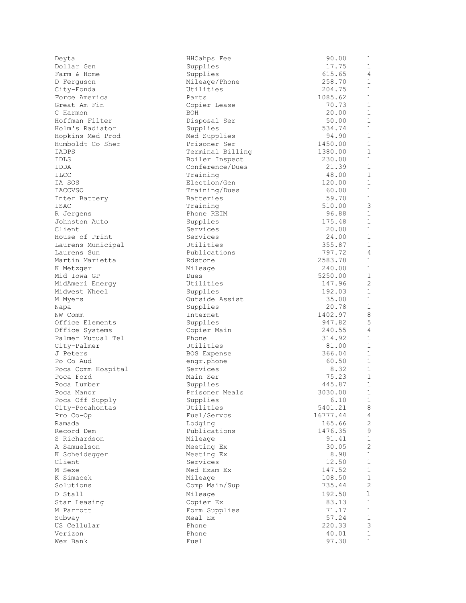| Deyta              | HHCahps Fee      | 90.00    | 1            |
|--------------------|------------------|----------|--------------|
| Dollar Gen         | Supplies         | 17.75    | 1            |
| Farm & Home        | Supplies         | 615.65   | 4            |
| D Ferquson         | Mileage/Phone    | 258.70   | $\mathbf 1$  |
| City-Fonda         | Utilities        | 204.75   | $\mathbf 1$  |
| Force America      | Parts            | 1085.62  | 1            |
| Great Am Fin       | Copier Lease     | 70.73    | $\mathbf{1}$ |
| C Harmon           | BOH              | 20.00    | $\mathbf 1$  |
| Hoffman Filter     | Disposal Ser     | 50.00    | $\mathbf{1}$ |
| Holm's Radiator    | Supplies         | 534.74   | $\mathbf 1$  |
| Hopkins Med Prod   | Med Supplies     | 94.90    | $\mathbf{1}$ |
| Humboldt Co Sher   | Prisoner Ser     | 1450.00  | $\mathbf{1}$ |
| IADPS              | Terminal Billing | 1380.00  | $\mathbf{1}$ |
| IDLS               | Boiler Inspect   | 230.00   | $\mathbf{1}$ |
| IDDA               | Conference/Dues  | 21.39    | $\mathbf 1$  |
| ILCC               | Training         | 48.00    | 1            |
| IA SOS             | Election/Gen     | 120.00   | $\mathbf 1$  |
| <b>IACCVSO</b>     | Training/Dues    | 60.00    | $\mathbf 1$  |
| Inter Battery      | Batteries        | 59.70    | $\mathbf{1}$ |
| ISAC               | Training         | 510.00   | 3            |
| R Jergens          | Phone REIM       | 96.88    | $\mathbf{1}$ |
| Johnston Auto      | Supplies         | 175.48   | $\mathbf{1}$ |
| Client             | Services         | 20.00    | $\mathbf{1}$ |
| House of Print     | Services         | 24.00    | $\mathbf{1}$ |
| Laurens Municipal  | Utilities        | 355.87   | 1            |
| Laurens Sun        | Publications     | 797.72   | 4            |
| Martin Marietta    | Rdstone          | 2583.78  | $\mathbf{1}$ |
| K Metzger          | Mileage          | 240.00   | $\mathbf{1}$ |
| Mid Iowa GP        | Dues             | 5250.00  | $\mathbf{1}$ |
| MidAmeri Energy    | Utilities        | 147.96   | 2            |
| Midwest Wheel      | Supplies         | 192.03   | $\mathbf 1$  |
| M Myers            | Outside Assist   | 35.00    | $\mathbf{1}$ |
| Napa               | Supplies         | 20.78    | 1            |
| NW Comm            | Internet         | 1402.97  | $\,8\,$      |
| Office Elements    | Supplies         | 947.82   | 5            |
| Office Systems     | Copier Main      | 240.55   | 4            |
| Palmer Mutual Tel  | Phone            | 314.92   | $\mathbf{1}$ |
| City-Palmer        | Utilities        | 81.00    | $\mathbf{1}$ |
| J Peters           | BOS Expense      | 366.04   | $\mathbf{1}$ |
| Po Co Aud          | engr.phone       | 60.50    | $\mathbf 1$  |
| Poca Comm Hospital | Services         | 8.32     | 1            |
| Poca Ford          | Main Ser         | 75.23    | $\mathbf{1}$ |
| Poca Lumber        | Supplies         | 445.87   | 1            |
| Poca Manor         | Prisoner Meals   | 3030.00  | 1            |
| Poca Off Supply    | Supplies         | 6.10     | $\mathbf{1}$ |
| City-Pocahontas    | Utilities        | 5401.21  | 8            |
| Pro Co-Op          | Fuel/Servcs      | 16777.44 | 4            |
| Ramada             | Lodging          | 165.66   | 2            |
| Record Dem         | Publications     | 1476.35  | 9            |
| S Richardson       | Mileage          | 91.41    | $\mathbf{1}$ |
| A Samuelson        | Meeting Ex       | 30.05    | $\mathbf{2}$ |
| K Scheidegger      | Meeting Ex       | 8.98     | $\mathbf 1$  |
| Client             | Services         | 12.50    | 1            |
| M Sexe             | Med Exam Ex      | 147.52   | 1            |
| K Simacek          | Mileage          | 108.50   | $\mathbf{1}$ |
| Solutions          | Comp Main/Sup    | 735.44   | $\mathbf{2}$ |
|                    |                  |          | $\mathbf 1$  |
| D Stall            | Mileage          | 192.50   |              |
| Star Leasing       | Copier Ex        | 83.13    | $\mathbf{1}$ |
| M Parrott          | Form Supplies    | 71.17    | $\mathbf{1}$ |
| Subway             | Meal Ex          | 57.24    | 1            |
| US Cellular        | Phone            | 220.33   | 3            |
| Verizon            | Phone            | 40.01    | $\mathbf{1}$ |
| Wex Bank           | Fuel             | 97.30    | $\mathbf{1}$ |